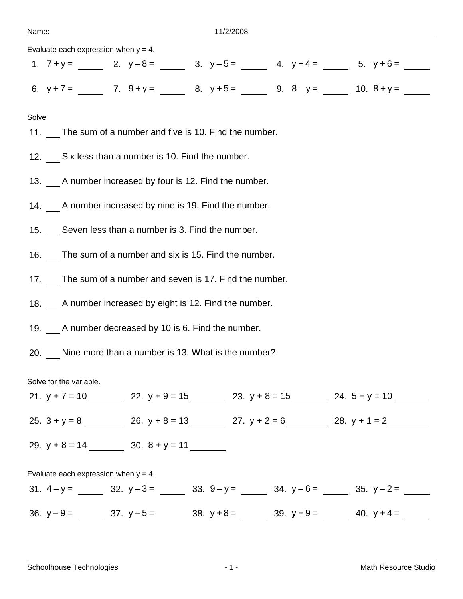| Evaluate each expression when $y = 4$ .                             |  |  |  |  |
|---------------------------------------------------------------------|--|--|--|--|
| 1. $7 + y =$ 2. $y-8 =$ 3. $y-5 =$ 4. $y+4 =$ 5. $y+6 =$            |  |  |  |  |
| 6. $y+7 =$ 7. $9+y =$ 8. $y+5 =$ 9. $8-y =$ 10. $8+y =$             |  |  |  |  |
| Solve.                                                              |  |  |  |  |
| 11. The sum of a number and five is 10. Find the number.            |  |  |  |  |
| 12. Six less than a number is 10. Find the number.                  |  |  |  |  |
| 13. A number increased by four is 12. Find the number.              |  |  |  |  |
| 14. A number increased by nine is 19. Find the number.              |  |  |  |  |
| 15. Seven less than a number is 3. Find the number.                 |  |  |  |  |
| 16. The sum of a number and six is 15. Find the number.             |  |  |  |  |
| 17. The sum of a number and seven is 17. Find the number.           |  |  |  |  |
| 18. A number increased by eight is 12. Find the number.             |  |  |  |  |
| 19. A number decreased by 10 is 6. Find the number.                 |  |  |  |  |
| 20. Nine more than a number is 13. What is the number?              |  |  |  |  |
| Solve for the variable.                                             |  |  |  |  |
| 21. $y + 7 = 10$ 22. $y + 9 = 15$ 23. $y + 8 = 15$ 24. $5 + y = 10$ |  |  |  |  |
| 25. $3 + y = 8$ 26. $y + 8 = 13$ 27. $y + 2 = 6$ 28. $y + 1 = 2$    |  |  |  |  |
| 29. $y + 8 = 14$ 30. $8 + y = 11$                                   |  |  |  |  |
| Evaluate each expression when $y = 4$ .                             |  |  |  |  |
| 31. $4-y =$ 32. $y-3 =$ 33. $9-y =$ 34. $y-6 =$ 35. $y-2 =$         |  |  |  |  |

36.  $y-9=\underline{\hspace{1cm}}$  37.  $y-5=\underline{\hspace{1cm}}$  38.  $y+8=\underline{\hspace{1cm}}$  39.  $y+9=\underline{\hspace{1cm}}$  40.  $y+4=\underline{\hspace{1cm}}$